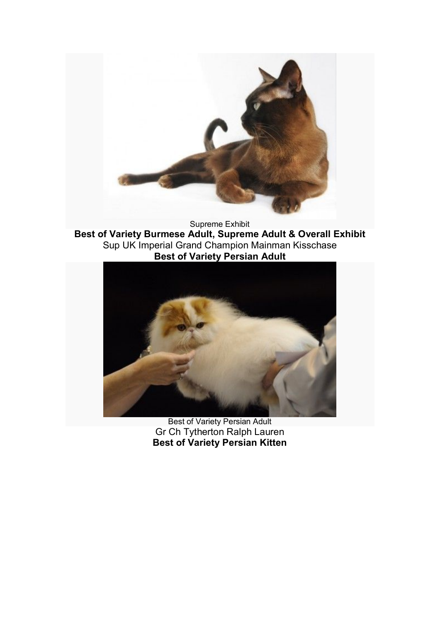

Supreme Exhibit **Best of Variety Burmese Adult, Supreme Adult & Overall Exhibit** Sup UK Imperial Grand Champion Mainman Kisschase **Best of Variety Persian Adult**



Best of Variety Persian Adult Gr Ch Tytherton Ralph Lauren **Best of Variety Persian Kitten**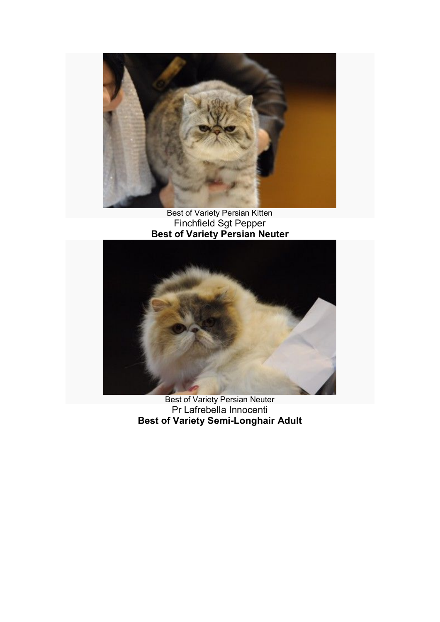

Best of Variety Persian Kitten Finchfield Sgt Pepper **Best of Variety Persian Neuter**



Best of Variety Persian Neuter Pr Lafrebella Innocenti **Best of Variety Semi-Longhair Adult**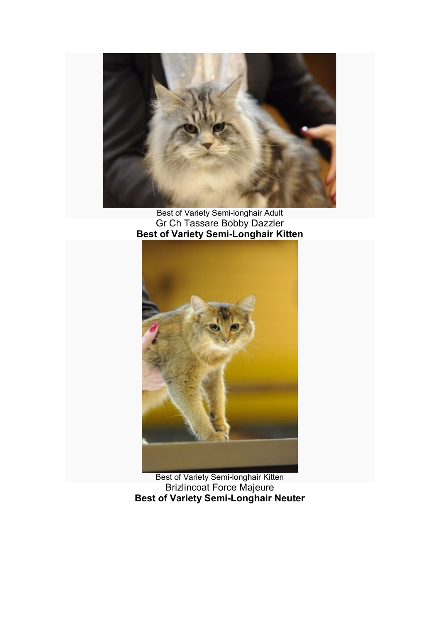

Best of Variety Semi-longhair Adult Gr Ch Tassare Bobby Dazzler **Best of Variety Semi-Longhair Kitten**



Best of Variety Semi-longhair Kitten Brizlincoat Force Majeure **Best of Variety Semi-Longhair Neuter**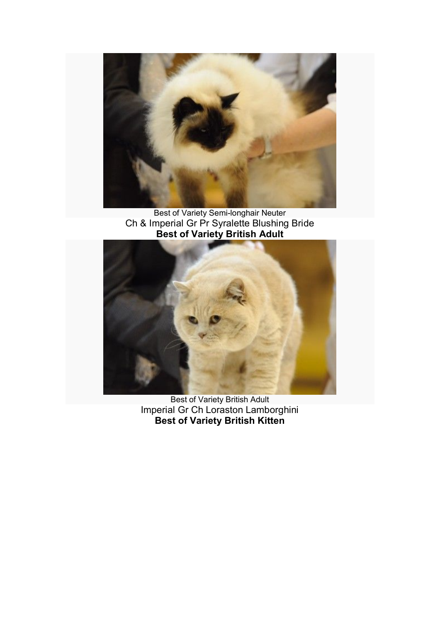

Best of Variety Semi-longhair Neuter Ch & Imperial Gr Pr Syralette Blushing Bride **Best of Variety British Adult**



Best of Variety British Adult Imperial Gr Ch Loraston Lamborghini **Best of Variety British Kitten**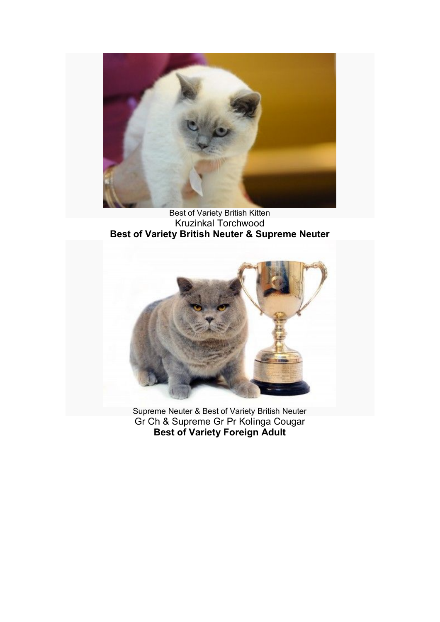

Best of Variety British Kitten Kruzinkal Torchwood **Best of Variety British Neuter & Supreme Neuter**



Supreme Neuter & Best of Variety British Neuter Gr Ch & Supreme Gr Pr Kolinga Cougar **Best of Variety Foreign Adult**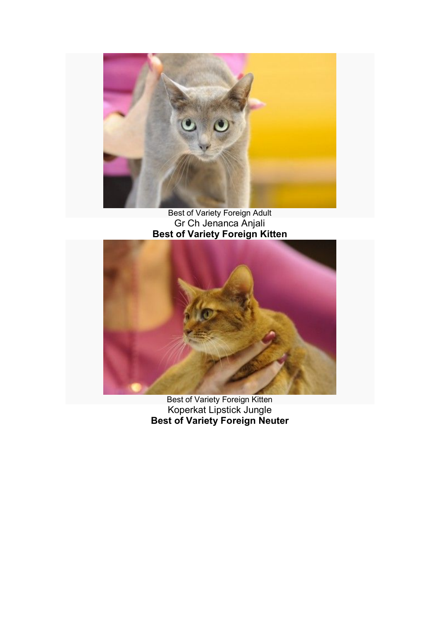

Best of Variety Foreign Adult Gr Ch Jenanca Anjali **Best of Variety Foreign Kitten** 



Best of Variety Foreign Kitten Koperkat Lipstick Jungle **Best of Variety Foreign Neuter**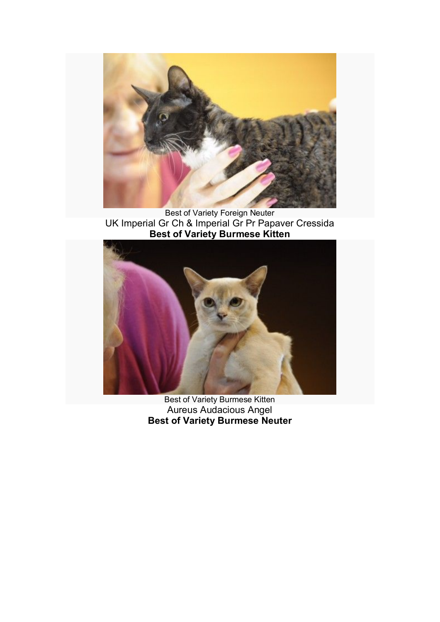

Best of Variety Foreign Neuter UK Imperial Gr Ch & Imperial Gr Pr Papaver Cressida **Best of Variety Burmese Kitten**



Best of Variety Burmese Kitten Aureus Audacious Angel **Best of Variety Burmese Neuter**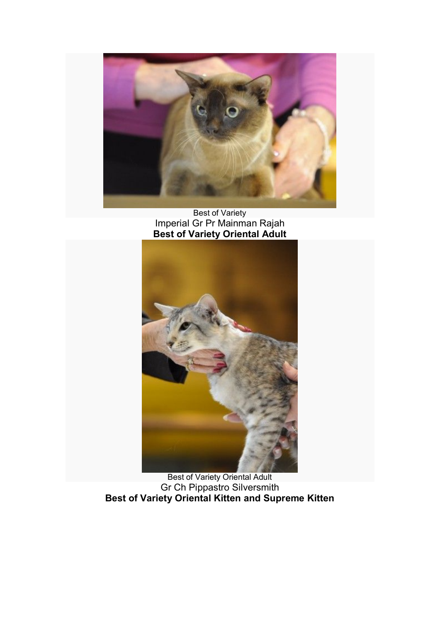

Best of Variety Imperial Gr Pr Mainman Rajah **Best of Variety Oriental Adult**



Best of Variety Oriental Adult Gr Ch Pippastro Silversmith **Best of Variety Oriental Kitten and Supreme Kitten**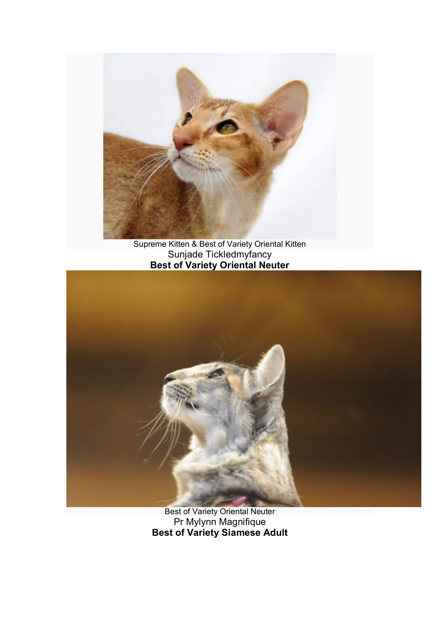

Supreme Kitten & Best of Variety Oriental Kitten Sunjade Tickledmyfancy **Best of Variety Oriental Neuter**



Best of Variety Oriental Neuter Pr Mylynn Magnifique **Best of Variety Siamese Adult**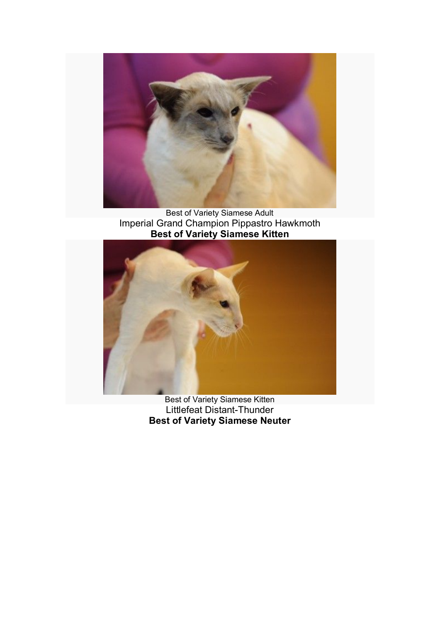

Best of Variety Siamese Adult Imperial Grand Champion Pippastro Hawkmoth **Best of Variety Siamese Kitten**



Best of Variety Siamese Kitten Littlefeat Distant-Thunder **Best of Variety Siamese Neuter**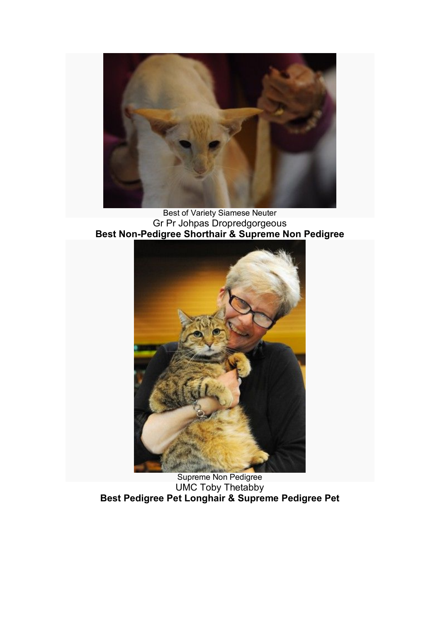

Best of Variety Siamese Neuter Gr Pr Johpas Dropredgorgeous **Best Non-Pedigree Shorthair & Supreme Non Pedigree**



Supreme Non Pedigree UMC Toby Thetabby **Best Pedigree Pet Longhair & Supreme Pedigree Pet**